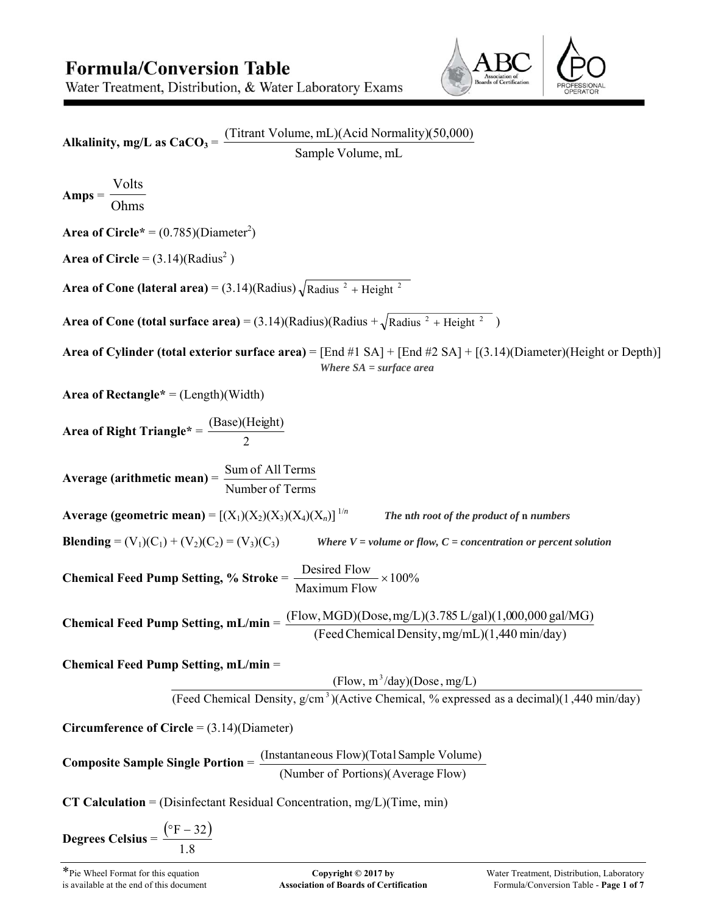# **Formula/Conversion Table**

Alkalinity, mg/L as  $CaCO<sub>3</sub> =$ 

Water Treatment, Distribution, & Water Laboratory Exams



Sample Volume, mL **Amps** = Ohms Volts **Area of Circle\*** =  $(0.785)(Diameter^2)$ **Area of Circle** =  $(3.14)(\text{Radius}^2)$ **Area of Cone (lateral area)** =  $(3.14)$ (Radius)  $\sqrt{\text{Radius }^2 + \text{Height }^2}$ **Area of Cone (total surface area)** = (3.14)(Radius)(Radius +  $\sqrt{\text{Radius }^2 + \text{Height }^2}$ ) **Area of Cylinder (total exterior surface area)** = [End #1 SA] + [End #2 SA] + [(3.14)(Diameter)(Height or Depth)] *Where SA = surface area* **Area of Rectangle\*** = (Length)(Width) **Area of Right Triangle\*** = 2 (Base)(Height) **Average (arithmetic mean)** = Number of Terms Sum of All Terms

(Titrant Volume, mL)(Acid Normality)(50,000)

**Blending** =  $(V_1)(C_1) + (V_2)(C_2) = (V_3)(C_3)$  *Where V = volume or flow, C = concentration or percent solution* 

**Average (geometric mean)** =  $[(X_1)(X_2)(X_3)(X_4)(X_n)]^{1/n}$  The nth root of the product of n numbers

**Chemical Feed Pump Setting, % Stroke** = 100% Maximum Flow Desired Flow

**Chemical Feed Pump Setting, mL/min** = (Flow,MGD)(Dose,mg/L)(3.785 L/gal)(1,000,000 gal/MG) (FeedChemical Density,mg/mL)(1,440 min/day)

**Chemical Feed Pump Setting, mL/min** =

(Flow,  $m^3$ /day)(Dose, mg/L)

(Feed Chemical Density,  $g/cm<sup>3</sup>$ )(Active Chemical, % expressed as a decimal)(1,440 min/day)

**Circumference of Circle** = (3.14)(Diameter)

**Composite Sample Single Portion** = (Number of Portions)(Average Flow) (Instantaneous Flow)(Total Sample Volume)

**CT Calculation** = (Disinfectant Residual Concentration, mg/L)(Time, min)

$$
\text{Degrees Celsius} = \frac{(\text{°F} - 32)}{1.8}
$$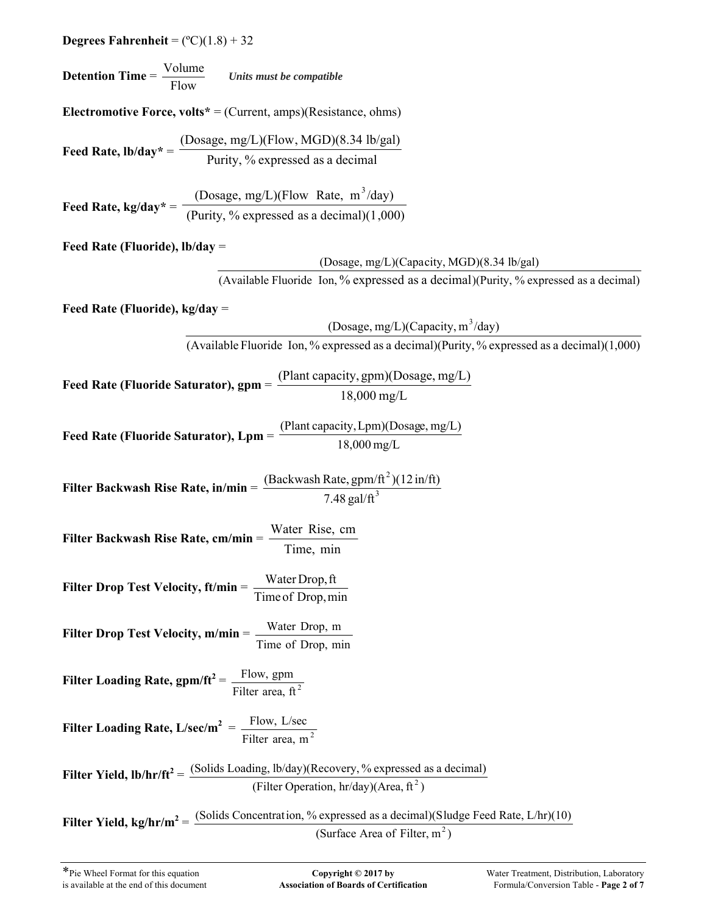| <b>Degrees Fahrenheit</b> = $(^{\circ}C)(1.8) + 32$                                                                                                                               |  |  |  |  |  |
|-----------------------------------------------------------------------------------------------------------------------------------------------------------------------------------|--|--|--|--|--|
| <b>Detention Time</b> = $\frac{\text{Volume}}{\text{Flow}}$ Units must be compatible                                                                                              |  |  |  |  |  |
| <b>Electromotive Force, volts</b> * = (Current, amps)(Resistance, ohms)                                                                                                           |  |  |  |  |  |
| Feed Rate, $lb/day^* = \frac{(Dosage, mg/L)(Flow, MGD)(8.34 lb/gal)}{Purity, \% expressed as a decimal}$                                                                          |  |  |  |  |  |
| Feed Rate, kg/day* = $\frac{\text{(Dosage, mg/L)(Flow Rate, m^3/day)}}{\text{(Purity, % expressed as a decimal)(1,000)}}$                                                         |  |  |  |  |  |
| Feed Rate (Fluoride), $lb/day =$                                                                                                                                                  |  |  |  |  |  |
| (Dosage, mg/L)(Capacity, MGD)(8.34 lb/gal)                                                                                                                                        |  |  |  |  |  |
| (Available Fluoride Ion, % expressed as a decimal)(Purity, % expressed as a decimal)                                                                                              |  |  |  |  |  |
| Feed Rate (Fluoride), $kg/day =$<br>(Dosage, mg/L)(Capacity, $m^3$ /day)                                                                                                          |  |  |  |  |  |
| (Available Fluoride Ion, % expressed as a decimal)(Purity, % expressed as a decimal)(1,000)                                                                                       |  |  |  |  |  |
|                                                                                                                                                                                   |  |  |  |  |  |
| Feed Rate (Fluoride Saturator), $gpm = \frac{(Plant\ capacity, gpm)(Dosage, mg/L)}{18,000 mg/L}$                                                                                  |  |  |  |  |  |
| <b>Feed Rate (Fluoride Saturator), Lpm</b> = $\frac{(Plant capacity, Lpm)(Dosage, mg/L)}{18,000 mg/L}$                                                                            |  |  |  |  |  |
| Filter Backwash Rise Rate, in/min = $\frac{(Backwash Rate, gpm/ft^2)(12 \text{ in/ft})}{7.48 \text{ gal/ft}^3}$                                                                   |  |  |  |  |  |
| Filter Backwash Rise Rate, cm/min = $\frac{\text{Water Rise, cm}}{\text{Time, min}}$                                                                                              |  |  |  |  |  |
| Filter Drop Test Velocity, ft/min = $\frac{\text{Water Drop, ft}}{\text{1}}$<br>Time of Drop, min                                                                                 |  |  |  |  |  |
| Filter Drop Test Velocity, m/min = Water Drop, m<br>Time of Drop, min                                                                                                             |  |  |  |  |  |
| Filter Loading Rate, gpm/ft <sup>2</sup> = $\frac{\text{Flow, gpm}}{\text{Filter area, ft}^2}$                                                                                    |  |  |  |  |  |
| Filter Loading Rate, $L/sec/m^2 = \frac{Flow, L/sec}{Filter area, m^2}$                                                                                                           |  |  |  |  |  |
| Filter Yield, $\text{lb/hr/ft}^2 = \frac{\text{(Solids Loading, lb/day)}\text{(Recovery, % expressed as a decimal)}}{\text{(Filter Operation, hr/day)}\text{(Area, ft}^2)}$       |  |  |  |  |  |
| Filter Yield, kg/hr/m <sup>2</sup> = $\frac{\text{(Solids Connection, % expressed as a decimal)(Sludge Feed Rate, L/hr)(10)}}{Sludgeed Rate}$<br>(Surface Area of Filter, $m^2$ ) |  |  |  |  |  |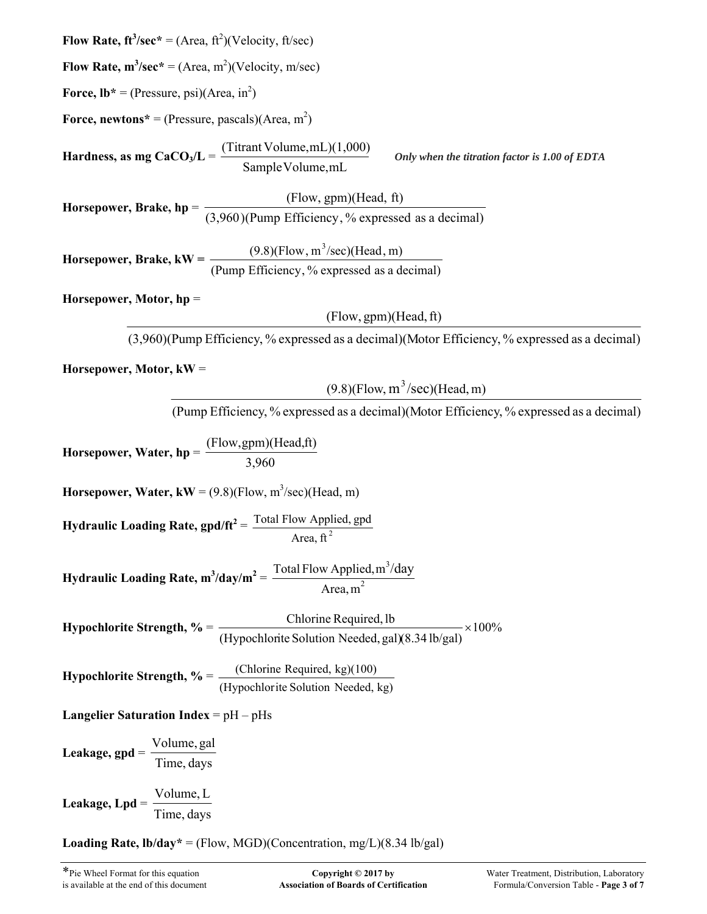**Flow Rate,**  $ft^3/sec^* = (Area, ft^2)(Velocity, ft/sec)$ 

**Flow Rate,**  $m^3/sec^* = (Area, m^2)(Velocity, m/sec)$ 

**Force,**  $Ib^* = (Pressure, psi)(Area, in^2)$ 

**Force, newtons**<sup>\*</sup> = (Pressure, pascals)(Area, m<sup>2</sup>)

**Hardness, as mg CaCO<sub>3</sub>/L =** SampleVolume,mL (Titrant Volume,mL)(1,000) *Only when the titration factor is 1.00 of EDTA*

**Horsepower, Brake, hp** = (3,960 (Pump Efficiency, % expressed as a decimal) (Flow, gpm)(Head, ft) )

**Horsepower, Brake, kW** =  $\frac{(\text{Pump}) \times (\text{Pump})}{(\text{Pump}) \times (\text{Pimp}) \times (\text{Pimp})}$  expressed as a decimal)  $(9.8)$ (Flow, m<sup>3</sup>/sec)(Head, m)

**Horsepower, Motor, hp** =

 $(Flow, gpm)(Head, ft)$ 

(3,960)(Pump Efficiency, % expressed as a decimal)(Motor Efficiency, % expressed as a decimal)

**Horsepower, Motor, kW** =

 $(9.8)$ (Flow, m<sup>3</sup>/sec)(Head, m)

(Pump Efficiency, % expressed as a decimal)(Motor Efficiency, % expressed as a decimal)

**Horsepower, Water, hp** = 3,960 (Flow,gpm)(Head,ft)

**Horsepower, Water,**  $kW = (9.8)(Flow, m^3/sec)(Head, m)$ 

**Hydraulic Loading Rate, gpd/ft<sup>2</sup>** = Area, ft $^2$ Total Flow Applied, gpd

**Hydraulic Loading Rate,**  $m^3$ **/day/** $m^2 = \frac{10(41 + 1000 \text{ Apple})}{4 \text{ prop.}}$ 3 Area,m Total Flow Applied,  $m^3$ /day

**Hypochlorite Strength,**  $\% = \frac{$  **chosene required, to**  $\frac{1}{2} \times 100\%$ (Hypochlorite Solution Needed, gal)(8.34 lb/gal) Chlorine Required, lb

**Hypochlorite Strength, %** = (Hypochlorite Solution Needed, kg) (Chlorine Required, kg)(100)

**Langelier Saturation Index** = pH – pHs

**Leakage, gpd** = Time, days Volume, gal

**Leakage, Lpd** = Time, days Volume, L

**Loading Rate,**  $\text{lb}/\text{day}^* = (\text{Flow}, \text{MGD})(\text{Concentration}, \text{mg/L})(8.34 \text{ lb/gal})$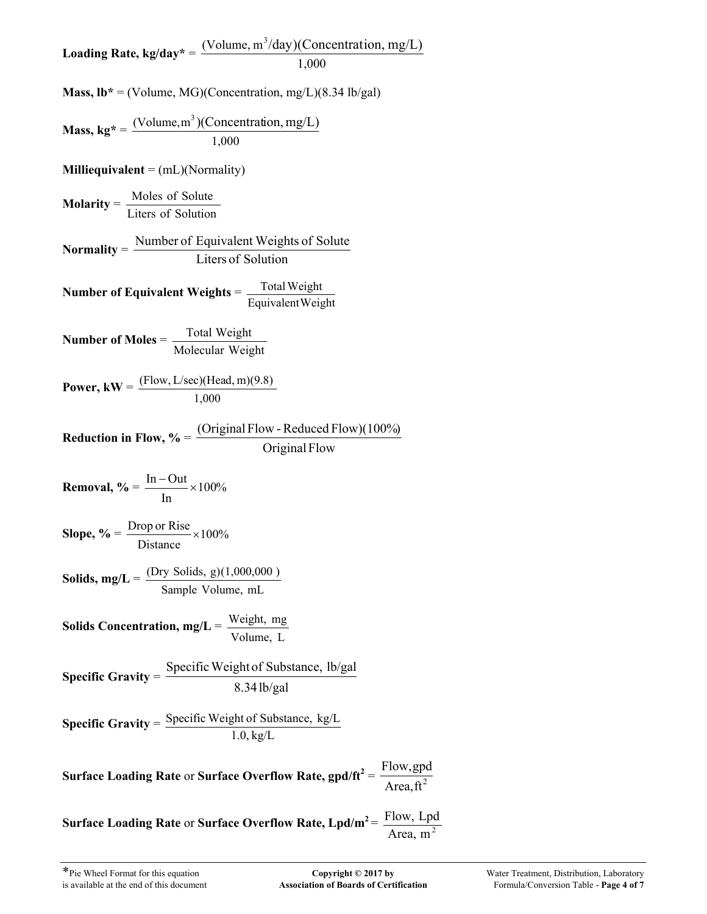**Loading Rate, kg/day\*** = 1,000 (Volume,  $m^3$ /day)(Concentration, mg/L)

**Mass,**  $\mathbf{lb}^* = (\text{Volume}, \text{MG})(\text{Concentration}, \text{mg/L})(8.34 \text{ lb/gal})$ 

**Mass, kg\* =** 
$$
\frac{(\text{Volume}, \text{m}^3)(\text{Concentration}, \text{mg/L})}{1,000}
$$

**Milliequivalent** = (mL)(Normality)

**Molarity** = Liters of Solution Moles of Solute

**Normality** = Liters of Solution Number of Equivalent Weights of Solute

**Number of Equivalent Weights** = Equivalent Weight Total Weight

**Number of Moles** = Molecular Weight Total Weight

**Power, kW** = 1,000 (Flow, L/sec)(Head, m)(9.8)

**Reduction in Flow, %** = Original Flow (OriginalFlow - Reduced Flow)(100%)

$$
Removal, \% = \frac{\text{In}-\text{Out}}{\text{In}} \times 100\%
$$

Slope, % = 
$$
\frac{\text{Drop or Rise}}{\text{Distance}} \times 100\%
$$

**Solids, mg/L** = Sample Volume, mL (Dry Solids, g)(1,000,000 )

**Solids Concentration, mg/L** = Volume, L Weight, mg

**Specific Gravity** = 
$$
\frac{\text{Specific Weight of Substance, lb/gal}}{8.34 \text{ lb/gal}}
$$

**Specific Gravity** = 1.0, kg/L Specific Weight of Substance, kg/L

**Surface Loading Rate** or **Surface Overflow Rate, gpd/ft**<sup>2</sup> =  $\frac{1.10 \text{W}, \text{gpc}}{\text{Area}, \text{ft}^2}$ Flow,gpd

**Surface Loading Rate** or **Surface Overflow Rate, Lpd/m2** = Area, m<sup>2</sup> Flow, Lpd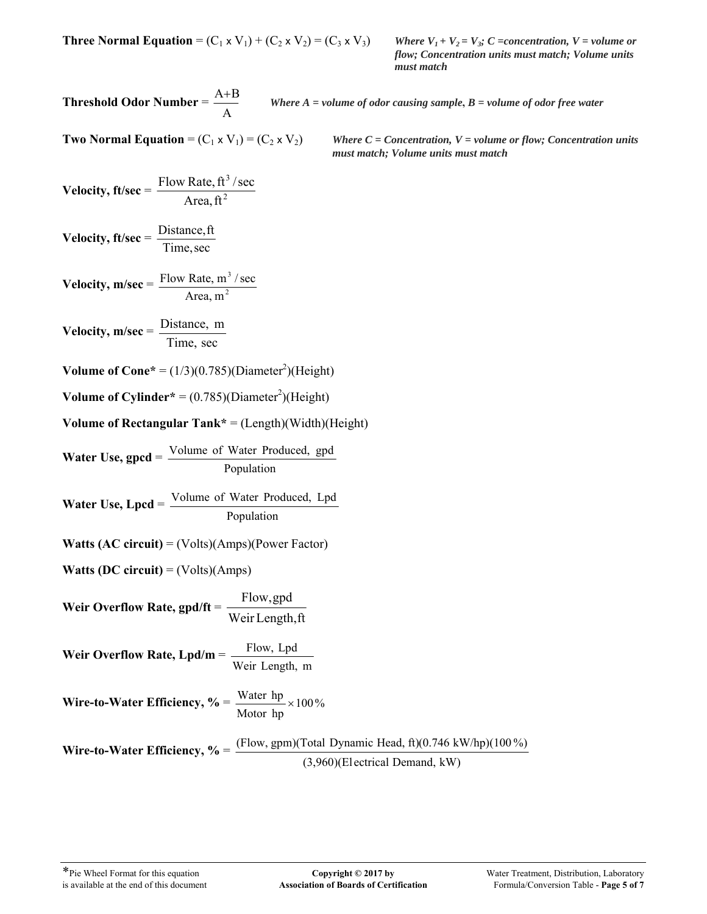**Three Normal Equation** =  $(C_1 \times V_1) + (C_2 \times V_2) = (C_3 \times V_3)$  *Where*  $V_1 + V_2 = V_3$ ; *C* = *concentration*, *V* = *volume or* 

*flow; Concentration units must match; Volume units must match*

**Threshold Odor Number** = A

A B *Where A = volume of odor causing sample***,** *B = volume of odor free water*

**Two Normal Equation** =  $(C_1 \times V_1) = (C_2 \times V_2)$  *Where C = Concentration, V = volume or flow; Concentration units must match; Volume units must match*

$$
Velocity, ft/sec = \frac{Flow Rate, ft^3/sec}{Area, ft^2}
$$

**Velocity, ft/sec** = Time,sec Distance,ft

$$
Velocity, m/sec = \frac{Flow Rate, m3/sec}{Area, m2}
$$

$$
Velocity, m/sec = \frac{Distance, m}{Time, sec}
$$

**Volume of Cone**\* =  $(1/3)(0.785)(Diameter^2)(Height)$ 

**Volume of Cylinder**<sup>\*</sup> =  $(0.785)(Diameter^2)(Height)$ 

## **Volume of Rectangular Tank\*** = (Length)(Width)(Height)

**Water Use, gpcd** = Population Volume of Water Produced, gpd

**Water Use, Lpcd** = Population Volume of Water Produced, Lpd

**Watts (AC circuit)** = (Volts)(Amps)(Power Factor)

**Watts (DC circuit)** = (Volts)(Amps)

**Weir Overflow Rate, gpd/ft** = Weir Length,ft Flow,gpd

**Weir Overflow Rate, Lpd/m** = Weir Length, m Flow, Lpd

**Wire-to-Water Efficiency, %** =  $\frac{W \text{ act } \text{hp}}{W} \times 100\%$ Motor hp Water  $hp \times$ 

**Wire-to-Water Efficiency, %** = (3,960)(El ectrical Demand, kW) (Flow, gpm)(Total Dynamic Head, ft)(0.746 kW/hp)(100 %)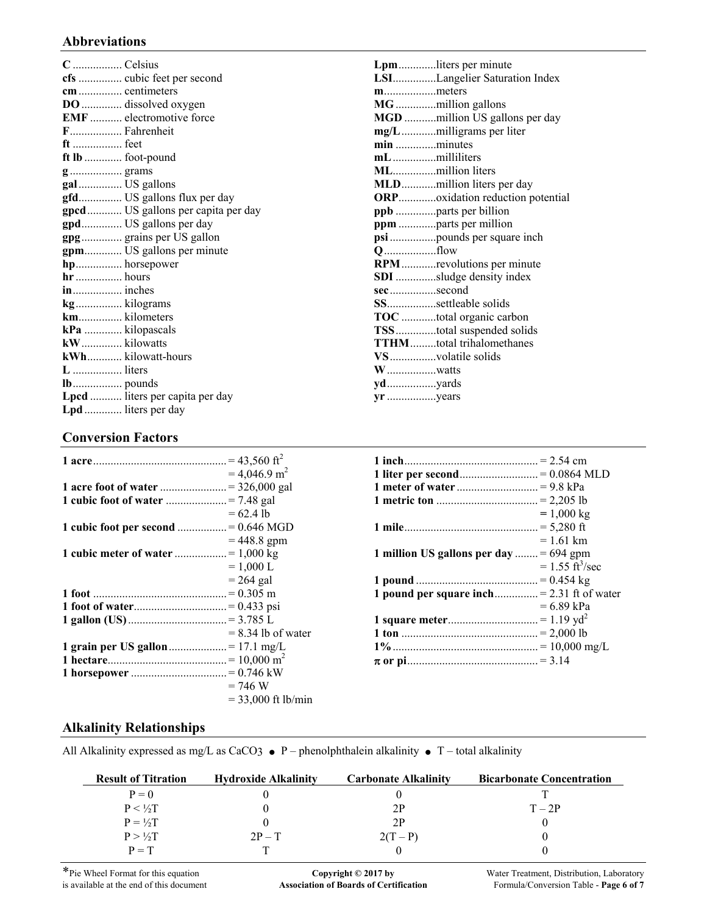## **Abbreviations**

| C  Celsius        |                                    |
|-------------------|------------------------------------|
|                   | cfs  cubic feet per second         |
| cm  centimeters   |                                    |
|                   | DO  dissolved oxygen               |
|                   | <b>EMF</b> electromotive force     |
| F Fahrenheit      |                                    |
| ft  feet          |                                    |
| ft lb  foot-pound |                                    |
| g grams           |                                    |
| gal  US gallons   |                                    |
|                   | gfd US gallons flux per day        |
|                   | gpcd US gallons per capita per day |
|                   | gpd US gallons per day             |
|                   | gpg grains per US gallon           |
|                   | gpm US gallons per minute          |
| hp horsepower     |                                    |
| hr  hours         |                                    |
| in inches         |                                    |
| kg kilograms      |                                    |
| km kilometers     |                                    |
| kPa  kilopascals  |                                    |
| kW kilowatts      |                                    |
|                   | kWh kilowatt-hours                 |
| L  liters         |                                    |
|                   |                                    |
|                   | Lpcd  liters per capita per day    |
|                   | Lpd liters per day                 |

#### **Lpm** .............liters per minute **LSI** ...............Langelier Saturation Index **m** ..................meters **MG** ..............million gallons **MGD** ...........million US gallons per day **mg/L** ............milligrams per liter **min** ..............minutes **mL** ...............milliliters **ML** ...............million liters **MLD** ............million liters per day **ORP** .............oxidation reduction potential **ppb** ..............parts per billion **ppm** .............parts per million **psi** ................pounds per square inch **Q** ..................flow **RPM** ............revolutions per minute **SDI** ..............sludge density index **sec** ................second **SS** .................settleable solids **TOC** ............total organic carbon **TSS** ..............total suspended solids **TTHM** .........total trihalomethanes **VS** ................volatile solids **W** .................watts **yd** .................yards **yr** .................years

## **Conversion Factors**

|                                     | $= 4,046.9$ m <sup>2</sup> |
|-------------------------------------|----------------------------|
|                                     |                            |
|                                     |                            |
|                                     | $= 62.4$ lb                |
| 1 cubic foot per second = 0.646 MGD |                            |
|                                     | $= 448.8$ gpm              |
|                                     |                            |
|                                     | $= 1,000$ L                |
|                                     | $= 264$ gal                |
|                                     |                            |
|                                     |                            |
|                                     |                            |
|                                     | $= 8.34$ lb of water       |
|                                     |                            |
|                                     |                            |
|                                     |                            |
|                                     | $= 746 W$                  |
|                                     | $=$ 33,000 ft lb/min       |
|                                     |                            |

|                                            | $= 1,000 \text{ kg}$             |
|--------------------------------------------|----------------------------------|
|                                            |                                  |
|                                            | $= 1.61$ km                      |
| 1 million US gallons per day  = $694$ gpm  |                                  |
|                                            | $= 1.55 \text{ ft}^3/\text{sec}$ |
|                                            |                                  |
| 1 pound per square inch = 2.31 ft of water |                                  |
|                                            | $= 6.89$ kPa                     |
|                                            |                                  |
|                                            |                                  |
|                                            |                                  |
|                                            |                                  |

## **Alkalinity Relationships**

All Alkalinity expressed as mg/L as CaCO3  $\bullet$  P – phenolphthalein alkalinity  $\bullet$  T – total alkalinity

| <b>Result of Titration</b> | <b>Hydroxide Alkalinity</b> | <b>Carbonate Alkalinity</b> | <b>Bicarbonate Concentration</b> |
|----------------------------|-----------------------------|-----------------------------|----------------------------------|
| $P=0$                      |                             |                             |                                  |
| $P < \frac{1}{2}T$         |                             | 2P                          | $T = 2P$                         |
| $P = \frac{1}{2}T$         |                             | 2P                          |                                  |
| $P > \frac{1}{2}T$         | $2P-T$                      | $2(T - P)$                  |                                  |
| $P = T$                    |                             |                             |                                  |

\*Pie Wheel Format for this equation **Copyright © 2017 by** Water Treatment, Distribution, Laboratory is available at the end of this document **Association of Boards of Certification** Formula/Conversion Table - **Page 6 of 7** Association of Boards of Certification **Formula/Conversion Table - Page 6 of 7**